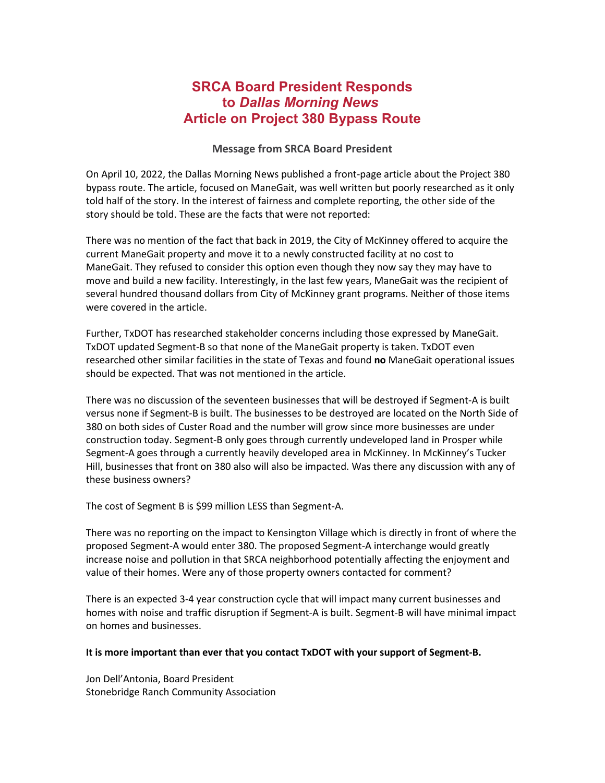## **SRCA Board President Responds to** *Dallas Morning News* **Article on Project 380 Bypass Route**

## **Message from SRCA Board President**

On April 10, 2022, the Dallas Morning News published a front-page article about the Project 380 bypass route. The article, focused on ManeGait, was well written but poorly researched as it only told half of the story. In the interest of fairness and complete reporting, the other side of the story should be told. These are the facts that were not reported:

There was no mention of the fact that back in 2019, the City of McKinney offered to acquire the current ManeGait property and move it to a newly constructed facility at no cost to ManeGait. They refused to consider this option even though they now say they may have to move and build a new facility. Interestingly, in the last few years, ManeGait was the recipient of several hundred thousand dollars from City of McKinney grant programs. Neither of those items were covered in the article.

Further, TxDOT has researched stakeholder concerns including those expressed by ManeGait. TxDOT updated Segment-B so that none of the ManeGait property is taken. TxDOT even researched other similar facilities in the state of Texas and found **no** ManeGait operational issues should be expected. That was not mentioned in the article.

There was no discussion of the seventeen businesses that will be destroyed if Segment-A is built versus none if Segment-B is built. The businesses to be destroyed are located on the North Side of 380 on both sides of Custer Road and the number will grow since more businesses are under construction today. Segment-B only goes through currently undeveloped land in Prosper while Segment-A goes through a currently heavily developed area in McKinney. In McKinney's Tucker Hill, businesses that front on 380 also will also be impacted. Was there any discussion with any of these business owners?

The cost of Segment B is \$99 million LESS than Segment-A.

There was no reporting on the impact to Kensington Village which is directly in front of where the proposed Segment-A would enter 380. The proposed Segment-A interchange would greatly increase noise and pollution in that SRCA neighborhood potentially affecting the enjoyment and value of their homes. Were any of those property owners contacted for comment?

There is an expected 3-4 year construction cycle that will impact many current businesses and homes with noise and traffic disruption if Segment-A is built. Segment-B will have minimal impact on homes and businesses.

## **It is more important than ever that you contact TxDOT with your support of Segment-B.**

Jon Dell'Antonia, Board President Stonebridge Ranch Community Association